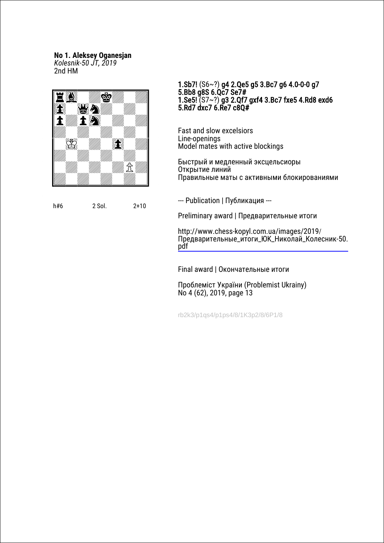# **No 1. Aleksey Oganesjan**

*Kolesnik-50 JT, 2019* 2nd HM



h#6 2 Sol. 2+10

### 1.Sb7! (S6~?) g4 2.Qe5 g5 3.Bc7 g6 4.0-0-0 g7 5.Bb8 g8S 6.Qc7 Se7# 1.Se5! (S7~?) g3 2.Qf7 gxf4 3.Bc7 fxe5 4.Rd8 exd6 5.Rd7 dxc7 6.Re7 c8Q#

Fast and slow excelsiors Line-openings Model mates with active blockings

Быстрый и медленный эксцельсиоры Открытие линий Правильные маты с активными блокированиями

--- Publication | Публикация ---

Preliminary award | Предварительные итоги

http://www.chess-kopyl.com.ua/images/2019/ [Предварительные\\_итоги\\_ЮK\\_Николай\\_Колесник-50.](http://www.chess-kopyl.com.ua/images/2019/%D0%9F%D1%80%D0%B5%D0%B4%D0%B2%D0%B0%D1%80%D0%B8%D1%82%D0%B5%D0%BB%D1%8C%D0%BD%D1%8B%D0%B5_%D0%B8%D1%82%D0%BE%D0%B3%D0%B8_%D0%AEK_%D0%9D%D0%B8%D0%BA%D0%BE%D0%BB%D0%B0%D0%B9_%D0%9A%D0%BE%D0%BB%D0%B5%D1%81%D0%BD%D0%B8%D0%BA-50.pdf) pdf

Final award | Окончательные итоги

Проблеміст України (Problemist Ukrainy) No 4 (62), 2019, page 13

rb2k3/p1qs4/p1ps4/8/1K3p2/8/6P1/8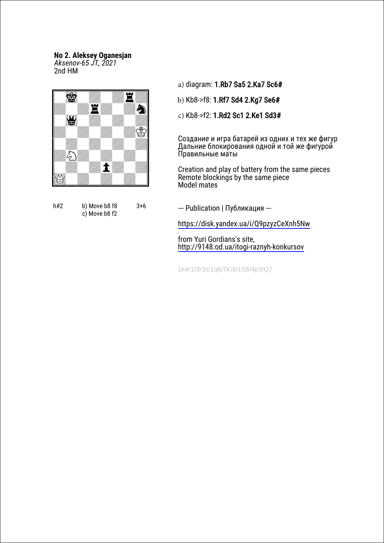## **No 2. Aleksey Oganesjan** *Aksenov-65 JT, 2021*

2nd HM



h#2 b) Move b8 f8 c) Move b8 f2 3+6

a) diagram: 1.Rb7 Sa5 2.Ka7 Sc6#

b) Kb8->f8: 1.Rf7 Sd4 2.Kg7 Se6#

c) Kb8->f2: 1.Rd2 Sc1 2.Ke1 Sd3#

Cоздание и игра батарей из одних и тех же фигур Дальние блокирования одной и той же фигурой Правильные маты

Creation and play of battery from the same pieces Remote blockings by the same piece Model mates

--- Publication | Публикация ---

<https://disk.yandex.ua/i/Q9pzyzCeXnh5Nw>

from Yuri Gordians's site, <http://9148.od.ua/itogi-raznyh-konkursov>

1k4r1/3r3s/1q6/7K/8/1S6/4p3/Q7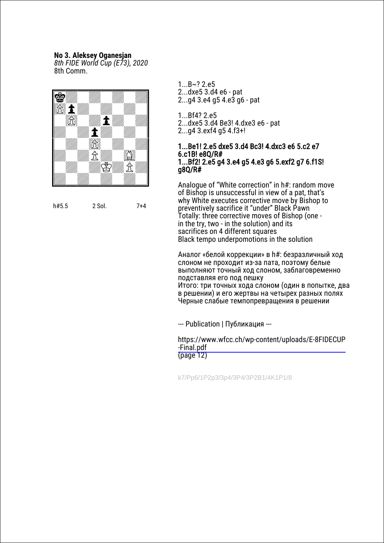### **No 3. Aleksey Oganesjan**

*8th FIDE World Cup (E73), 2020* 8th Сomm.



h#5.5 2 Sol. 7+4

- 1...B~? 2.e5
- 2...dxe5 3.d4 e6 pat
- 2...g4 3.e4 g5 4.e3 g6 pat
- 1...Bf4? 2.e5
- 2...dxe5 3.d4 Be3! 4.dxe3 e6 pat
- 2...g4 3.exf4 g5 4.f3+!

#### 1...Be1! 2.e5 dxe5 3.d4 Bc3! 4.dxc3 e6 5.c2 e7 6.c1B! e8Q/R# 1...Bf2! 2.e5 g4 3.e4 g5 4.e3 g6 5.exf2 g7 6.f1S! g8Q/R#

Analogue of "White correction" in h#: random move of Bishop is unsuccessful in view of a pat, that's why White executes corrective move by Bishop to preventively sacrifice it "under" Black Pawn Totally: three corrective moves of Bishop (one in the try, two - in the solution) and its sacrifices on 4 different squares Black tempo underpomotions in the solution

Аналог «белой коррекции» в h#: безразличный ход слоном не проходит из-за пата, поэтому белые выполняют точный ход слоном, заблаговременно подставляя его под пешку Итого: три точных хода слоном (один в попытке, два в решении) и его жертвы на четырех разных полях Черные слабые темпопревращения в решении

--- Publication | Публикация ---

[https://www.wfcc.ch/wp-content/uploads/E-8FIDECUP](https://www.wfcc.ch/wp-content/uploads/E-8FIDECUP-Final.pdf) -Final.pdf (page 12)

k7/Pp6/1P2p3/3p4/3P4/3P2B1/4K1P1/8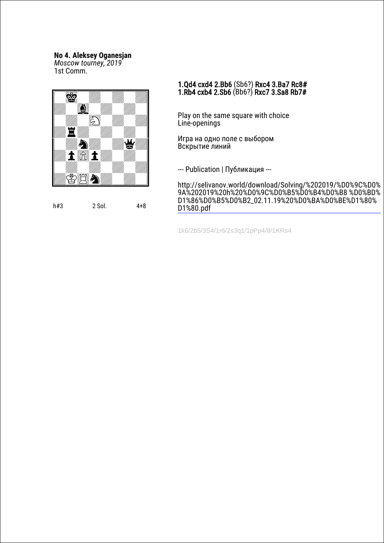## **No 4. Aleksey Oganesjan**

*Moscow tourney, 2019* 1st Сomm.



### 1.Qd4 cxd4 2.Bb6 (Sb6?) Rxc4 3.Ba7 Rc8# 1.Rb4 cxb4 2.Sb6 (Bb6?) Rxc7 3.Sa8 Rb7#

Play on the same square with choice Line-openings

Игра на одно поле с выбором Вскрытие линий

--- Publication | Публикация ---

[http://selivanov.world/download/Solving/%202019/%D0%9C%D0%](http://www.selivanov.world/download/Solving/%202019/%D0%9C%D0%9A%202019%20h%20%D0%9C%D0%B5%D0%B4%D0%B8%D0%BD%D1%86%D0%B5%D0%B2_02.11.19%20%D0%BA%D0%BE%D1%80%D1%80.pdf) 9A%202019%20h%20%D0%9C%D0%B5%D0%B4%D0%B8 %D0%BD% D1%86%D0%B5%D0%B2\_02.11.19%20%D0%BA%D0%BE%D1%80% D1%80.pdf

1k6/2b5/3S4/1r6/2s3q1/1pPp4/8/1KRs4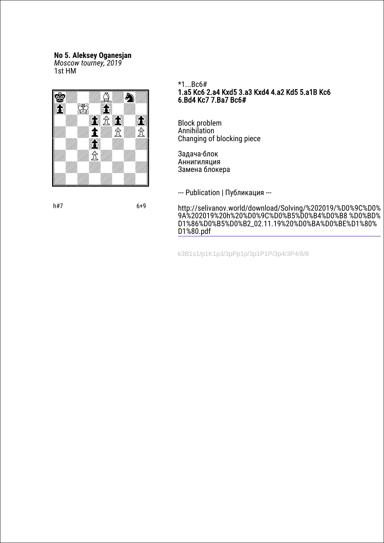### **No 5. Aleksey Oganesjan**

*Moscow tourney, 2019*

1st HM



\*1...Bc6# 1.a5 Kc6 2.a4 Kxd5 3.a3 Kxd4 4.a2 Kd5 5.a1B Kc6 6.Bd4 Kc7 7.Ba7 Bc6#

Block problem Annihilation Changing of blocking piece

Задача-блок Аннигиляция Замена блокера

--- Publication | Публикация ---

[http://selivanov.world/download/Solving/%202019/%D0%9C%D0%](http://www.selivanov.world/download/Solving/%202019/%D0%9C%D0%9A%202019%20h%20%D0%9C%D0%B5%D0%B4%D0%B8%D0%BD%D1%86%D0%B5%D0%B2_02.11.19%20%D0%BA%D0%BE%D1%80%D1%80.pdf) 9A%202019%20h%20%D0%9C%D0%B5%D0%B4%D0%B8 %D0%BD% D1%86%D0%B5%D0%B2\_02.11.19%20%D0%BA%D0%BE%D1%80% D1%80.pdf

k3B1s1/p1K1p3/3pPp1p/3p1P1P/3p4/3P4/8/8

h#7 6+9